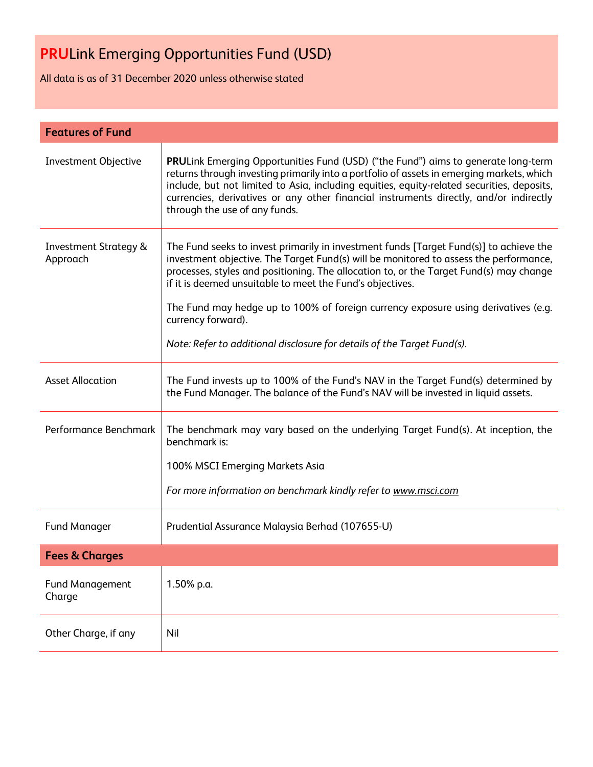All data is as of 31 December 2020 unless otherwise stated

| <b>Features of Fund</b>                      |                                                                                                                                                                                                                                                                                                                                                                                                                                                                                                                               |
|----------------------------------------------|-------------------------------------------------------------------------------------------------------------------------------------------------------------------------------------------------------------------------------------------------------------------------------------------------------------------------------------------------------------------------------------------------------------------------------------------------------------------------------------------------------------------------------|
| <b>Investment Objective</b>                  | <b>PRULink Emerging Opportunities Fund (USD) ("the Fund") aims to generate long-term</b><br>returns through investing primarily into a portfolio of assets in emerging markets, which<br>include, but not limited to Asia, including equities, equity-related securities, deposits,<br>currencies, derivatives or any other financial instruments directly, and/or indirectly<br>through the use of any funds.                                                                                                                |
| <b>Investment Strategy &amp;</b><br>Approach | The Fund seeks to invest primarily in investment funds [Target Fund(s)] to achieve the<br>investment objective. The Target Fund(s) will be monitored to assess the performance,<br>processes, styles and positioning. The allocation to, or the Target Fund(s) may change<br>if it is deemed unsuitable to meet the Fund's objectives.<br>The Fund may hedge up to 100% of foreign currency exposure using derivatives (e.g.<br>currency forward).<br>Note: Refer to additional disclosure for details of the Target Fund(s). |
| <b>Asset Allocation</b>                      | The Fund invests up to 100% of the Fund's NAV in the Target Fund(s) determined by<br>the Fund Manager. The balance of the Fund's NAV will be invested in liquid assets.                                                                                                                                                                                                                                                                                                                                                       |
| Performance Benchmark                        | The benchmark may vary based on the underlying Target Fund(s). At inception, the<br>benchmark is:<br>100% MSCI Emerging Markets Asia<br>For more information on benchmark kindly refer to www.msci.com                                                                                                                                                                                                                                                                                                                        |
| <b>Fund Manager</b>                          | Prudential Assurance Malaysia Berhad (107655-U)                                                                                                                                                                                                                                                                                                                                                                                                                                                                               |
| <b>Fees &amp; Charges</b>                    |                                                                                                                                                                                                                                                                                                                                                                                                                                                                                                                               |
| <b>Fund Management</b><br>Charge             | 1.50% p.a.                                                                                                                                                                                                                                                                                                                                                                                                                                                                                                                    |
| Other Charge, if any                         | Nil                                                                                                                                                                                                                                                                                                                                                                                                                                                                                                                           |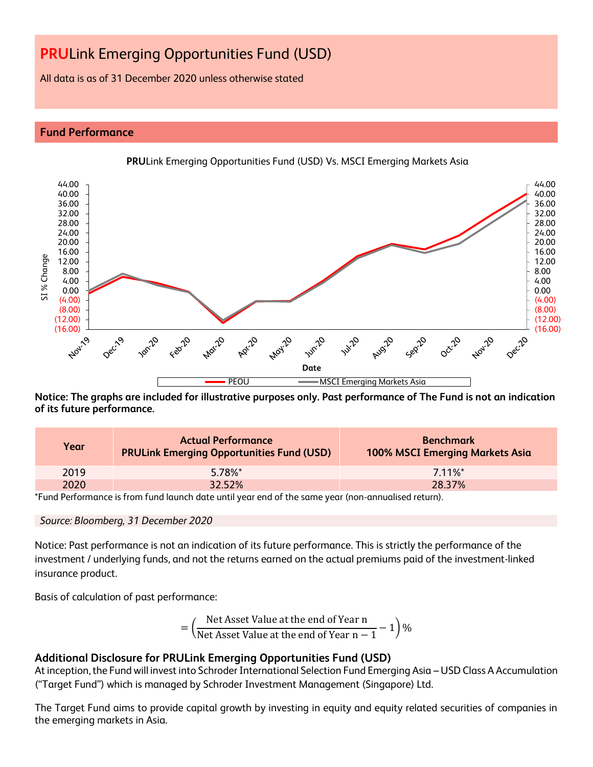All data is as of 31 December 2020 unless otherwise stated

### **Fund Performance**



**PRU**Link Emerging Opportunities Fund (USD) Vs. MSCI Emerging Markets Asia

**Notice: The graphs are included for illustrative purposes only. Past performance of The Fund is not an indication of its future performance.**

| Year | <b>Actual Performance</b><br><b>PRULink Emerging Opportunities Fund (USD)</b> | <b>Benchmark</b><br><b>100% MSCI Emerging Markets Asia</b> |
|------|-------------------------------------------------------------------------------|------------------------------------------------------------|
| 2019 | $5.78\%$ <sup>*</sup>                                                         | $711\%$ *                                                  |
| 2020 | 32.52%                                                                        | 28.37%                                                     |

\*Fund Performance is from fund launch date until year end of the same year (non-annualised return).

### *Source: Bloomberg, 31 December 2020*

Notice: Past performance is not an indication of its future performance. This is strictly the performance of the investment / underlying funds, and not the returns earned on the actual premiums paid of the investment-linked insurance product.

Basis of calculation of past performance:

$$
= \left(\frac{\text{Net Asset Value at the end of Year n}}{\text{Net Asset Value at the end of Year n} - 1}\right)\%
$$

### **Additional Disclosure for PRULink Emerging Opportunities Fund (USD)**

At inception, the Fund will invest into Schroder International Selection Fund Emerging Asia – USD Class A Accumulation ("Target Fund") which is managed by Schroder Investment Management (Singapore) Ltd.

The Target Fund aims to provide capital growth by investing in equity and equity related securities of companies in the emerging markets in Asia.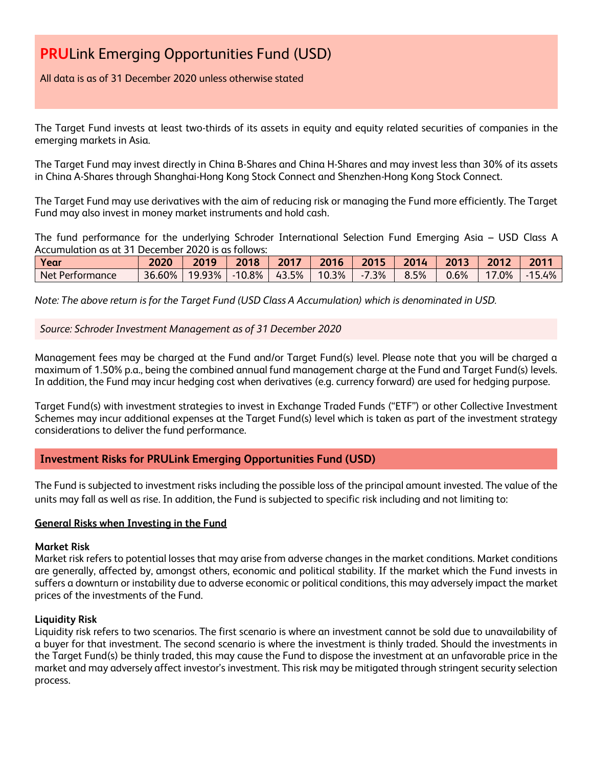### All data is as of 31 December 2020 unless otherwise stated

The Target Fund invests at least two-thirds of its assets in equity and equity related securities of companies in the emerging markets in Asia.

The Target Fund may invest directly in China B-Shares and China H-Shares and may invest less than 30% of its assets in China A-Shares through Shanghai-Hong Kong Stock Connect and Shenzhen-Hong Kong Stock Connect.

The Target Fund may use derivatives with the aim of reducing risk or managing the Fund more efficiently. The Target Fund may also invest in money market instruments and hold cash.

The fund performance for the underlying Schroder International Selection Fund Emerging Asia – USD Class A Accumulation as at 31 December 2020 is as follows:

| Year                   | 2020   | 2019   | 2018  | 2017  | 2016  | 2015                              | 2014 | 2013 | 2012 | 201'<br>£ |
|------------------------|--------|--------|-------|-------|-------|-----------------------------------|------|------|------|-----------|
| Net i<br>* Performance | 36.60% | 19.93% | 10.8% | 43.5% | 10.3% | 7.3%<br>$\blacksquare$<br>$\cdot$ | 8.5% | 0.6% | .0%  | 5.4%      |

*Note: The above return is for the Target Fund (USD Class A Accumulation) which is denominated in USD.*

*Source: Schroder Investment Management as of 31 December 2020*

Management fees may be charged at the Fund and/or Target Fund(s) level. Please note that you will be charged a maximum of 1.50% p.a., being the combined annual fund management charge at the Fund and Target Fund(s) levels. In addition, the Fund may incur hedging cost when derivatives (e.g. currency forward) are used for hedging purpose.

Target Fund(s) with investment strategies to invest in Exchange Traded Funds ("ETF") or other Collective Investment Schemes may incur additional expenses at the Target Fund(s) level which is taken as part of the investment strategy considerations to deliver the fund performance.

### **Investment Risks for PRULink Emerging Opportunities Fund (USD)**

The Fund is subjected to investment risks including the possible loss of the principal amount invested. The value of the units may fall as well as rise. In addition, the Fund is subjected to specific risk including and not limiting to:

### **General Risks when Investing in the Fund**

### **Market Risk**

Market risk refers to potential losses that may arise from adverse changes in the market conditions. Market conditions are generally, affected by, amongst others, economic and political stability. If the market which the Fund invests in suffers a downturn or instability due to adverse economic or political conditions, this may adversely impact the market prices of the investments of the Fund.

### **Liquidity Risk**

Liquidity risk refers to two scenarios. The first scenario is where an investment cannot be sold due to unavailability of a buyer for that investment. The second scenario is where the investment is thinly traded. Should the investments in the Target Fund(s) be thinly traded, this may cause the Fund to dispose the investment at an unfavorable price in the market and may adversely affect investor's investment. This risk may be mitigated through stringent security selection process.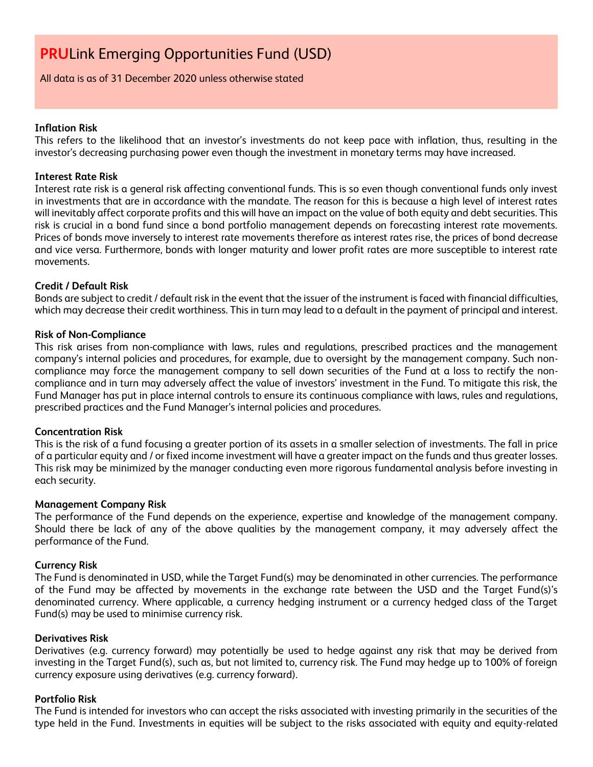All data is as of 31 December 2020 unless otherwise stated

### **Inflation Risk**

This refers to the likelihood that an investor's investments do not keep pace with inflation, thus, resulting in the investor's decreasing purchasing power even though the investment in monetary terms may have increased.

### **Interest Rate Risk**

Interest rate risk is a general risk affecting conventional funds. This is so even though conventional funds only invest in investments that are in accordance with the mandate. The reason for this is because a high level of interest rates will inevitably affect corporate profits and this will have an impact on the value of both equity and debt securities. This risk is crucial in a bond fund since a bond portfolio management depends on forecasting interest rate movements. Prices of bonds move inversely to interest rate movements therefore as interest rates rise, the prices of bond decrease and vice versa. Furthermore, bonds with longer maturity and lower profit rates are more susceptible to interest rate movements.

### **Credit / Default Risk**

Bonds are subject to credit / default risk in the event that the issuer of the instrument is faced with financial difficulties, which may decrease their credit worthiness. This in turn may lead to a default in the payment of principal and interest.

### **Risk of Non-Compliance**

This risk arises from non-compliance with laws, rules and regulations, prescribed practices and the management company's internal policies and procedures, for example, due to oversight by the management company. Such noncompliance may force the management company to sell down securities of the Fund at a loss to rectify the noncompliance and in turn may adversely affect the value of investors' investment in the Fund. To mitigate this risk, the Fund Manager has put in place internal controls to ensure its continuous compliance with laws, rules and regulations, prescribed practices and the Fund Manager's internal policies and procedures.

### **Concentration Risk**

This is the risk of a fund focusing a greater portion of its assets in a smaller selection of investments. The fall in price of a particular equity and / or fixed income investment will have a greater impact on the funds and thus greater losses. This risk may be minimized by the manager conducting even more rigorous fundamental analysis before investing in each security.

### **Management Company Risk**

The performance of the Fund depends on the experience, expertise and knowledge of the management company. Should there be lack of any of the above qualities by the management company, it may adversely affect the performance of the Fund.

### **Currency Risk**

The Fund is denominated in USD, while the Target Fund(s) may be denominated in other currencies. The performance of the Fund may be affected by movements in the exchange rate between the USD and the Target Fund(s)'s denominated currency. Where applicable, a currency hedging instrument or a currency hedged class of the Target Fund(s) may be used to minimise currency risk.

### **Derivatives Risk**

Derivatives (e.g. currency forward) may potentially be used to hedge against any risk that may be derived from investing in the Target Fund(s), such as, but not limited to, currency risk. The Fund may hedge up to 100% of foreign currency exposure using derivatives (e.g. currency forward).

### **Portfolio Risk**

The Fund is intended for investors who can accept the risks associated with investing primarily in the securities of the type held in the Fund. Investments in equities will be subject to the risks associated with equity and equity-related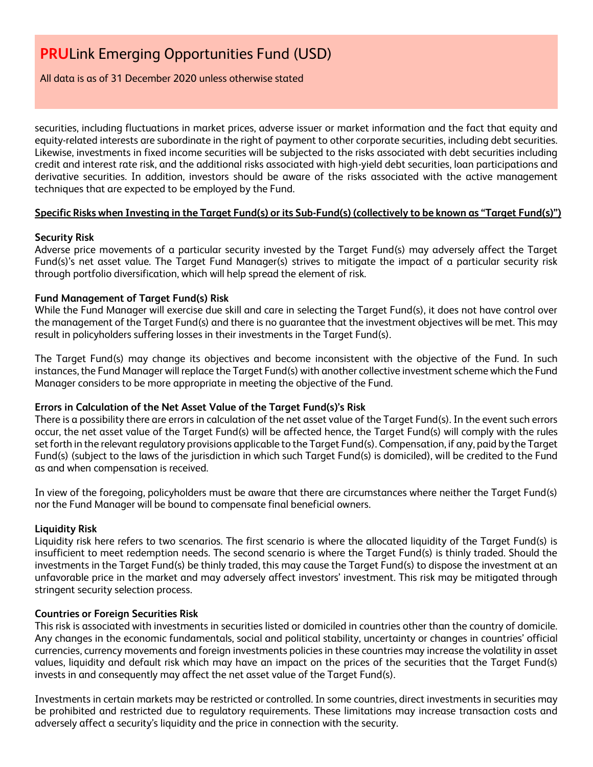### All data is as of 31 December 2020 unless otherwise stated

securities, including fluctuations in market prices, adverse issuer or market information and the fact that equity and equity-related interests are subordinate in the right of payment to other corporate securities, including debt securities. Likewise, investments in fixed income securities will be subjected to the risks associated with debt securities including credit and interest rate risk, and the additional risks associated with high-yield debt securities, loan participations and derivative securities. In addition, investors should be aware of the risks associated with the active management techniques that are expected to be employed by the Fund.

### **Specific Risks when Investing in the Target Fund(s) or its Sub-Fund(s) (collectively to be known as "Target Fund(s)")**

### **Security Risk**

Adverse price movements of a particular security invested by the Target Fund(s) may adversely affect the Target Fund(s)'s net asset value. The Target Fund Manager(s) strives to mitigate the impact of a particular security risk through portfolio diversification, which will help spread the element of risk.

### **Fund Management of Target Fund(s) Risk**

While the Fund Manager will exercise due skill and care in selecting the Target Fund(s), it does not have control over the management of the Target Fund(s) and there is no guarantee that the investment objectives will be met. This may result in policyholders suffering losses in their investments in the Target Fund(s).

The Target Fund(s) may change its objectives and become inconsistent with the objective of the Fund. In such instances, the Fund Manager will replace the Target Fund(s) with another collective investment scheme which the Fund Manager considers to be more appropriate in meeting the objective of the Fund.

### **Errors in Calculation of the Net Asset Value of the Target Fund(s)'s Risk**

There is a possibility there are errors in calculation of the net asset value of the Target Fund(s). In the event such errors occur, the net asset value of the Target Fund(s) will be affected hence, the Target Fund(s) will comply with the rules set forth in the relevant regulatory provisions applicable to the Target Fund(s). Compensation, if any, paid by the Target Fund(s) (subject to the laws of the jurisdiction in which such Target Fund(s) is domiciled), will be credited to the Fund as and when compensation is received.

In view of the foregoing, policyholders must be aware that there are circumstances where neither the Target Fund(s) nor the Fund Manager will be bound to compensate final beneficial owners.

### **Liquidity Risk**

Liquidity risk here refers to two scenarios. The first scenario is where the allocated liquidity of the Target Fund(s) is insufficient to meet redemption needs. The second scenario is where the Target Fund(s) is thinly traded. Should the investments in the Target Fund(s) be thinly traded, this may cause the Target Fund(s) to dispose the investment at an unfavorable price in the market and may adversely affect investors' investment. This risk may be mitigated through stringent security selection process.

### **Countries or Foreign Securities Risk**

This risk is associated with investments in securities listed or domiciled in countries other than the country of domicile. Any changes in the economic fundamentals, social and political stability, uncertainty or changes in countries' official currencies, currency movements and foreign investments policies in these countries may increase the volatility in asset values, liquidity and default risk which may have an impact on the prices of the securities that the Target Fund(s) invests in and consequently may affect the net asset value of the Target Fund(s).

Investments in certain markets may be restricted or controlled. In some countries, direct investments in securities may be prohibited and restricted due to regulatory requirements. These limitations may increase transaction costs and adversely affect a security's liquidity and the price in connection with the security.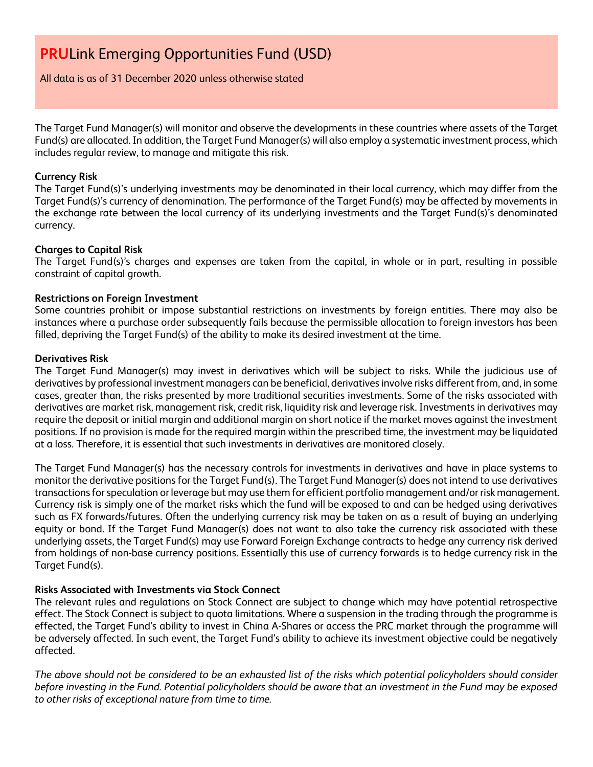All data is as of 31 December 2020 unless otherwise stated

The Target Fund Manager(s) will monitor and observe the developments in these countries where assets of the Target Fund(s) are allocated. In addition, the Target Fund Manager(s) will also employ a systematic investment process, which includes regular review, to manage and mitigate this risk.

### **Currency Risk**

The Target Fund(s)'s underlying investments may be denominated in their local currency, which may differ from the Target Fund(s)'s currency of denomination. The performance of the Target Fund(s) may be affected by movements in the exchange rate between the local currency of its underlying investments and the Target Fund(s)'s denominated currency.

### **Charges to Capital Risk**

The Target Fund(s)'s charges and expenses are taken from the capital, in whole or in part, resulting in possible constraint of capital growth.

### **Restrictions on Foreign Investment**

Some countries prohibit or impose substantial restrictions on investments by foreign entities. There may also be instances where a purchase order subsequently fails because the permissible allocation to foreign investors has been filled, depriving the Target Fund(s) of the ability to make its desired investment at the time.

### **Derivatives Risk**

The Target Fund Manager(s) may invest in derivatives which will be subject to risks. While the judicious use of derivatives by professional investment managers can be beneficial, derivatives involve risks different from, and, in some cases, greater than, the risks presented by more traditional securities investments. Some of the risks associated with derivatives are market risk, management risk, credit risk, liquidity risk and leverage risk. Investments in derivatives may require the deposit or initial margin and additional margin on short notice if the market moves against the investment positions. If no provision is made for the required margin within the prescribed time, the investment may be liquidated at a loss. Therefore, it is essential that such investments in derivatives are monitored closely.

The Target Fund Manager(s) has the necessary controls for investments in derivatives and have in place systems to monitor the derivative positions for the Target Fund(s). The Target Fund Manager(s) does not intend to use derivatives transactions for speculation or leverage but may use them for efficient portfolio management and/or risk management. Currency risk is simply one of the market risks which the fund will be exposed to and can be hedged using derivatives such as FX forwards/futures. Often the underlying currency risk may be taken on as a result of buying an underlying equity or bond. If the Target Fund Manager(s) does not want to also take the currency risk associated with these underlying assets, the Target Fund(s) may use Forward Foreign Exchange contracts to hedge any currency risk derived from holdings of non-base currency positions. Essentially this use of currency forwards is to hedge currency risk in the Target Fund(s).

### **Risks Associated with Investments via Stock Connect**

The relevant rules and regulations on Stock Connect are subject to change which may have potential retrospective effect. The Stock Connect is subject to quota limitations. Where a suspension in the trading through the programme is effected, the Target Fund's ability to invest in China A-Shares or access the PRC market through the programme will be adversely affected. In such event, the Target Fund's ability to achieve its investment objective could be negatively affected.

*The above should not be considered to be an exhausted list of the risks which potential policyholders should consider before investing in the Fund. Potential policyholders should be aware that an investment in the Fund may be exposed to other risks of exceptional nature from time to time.*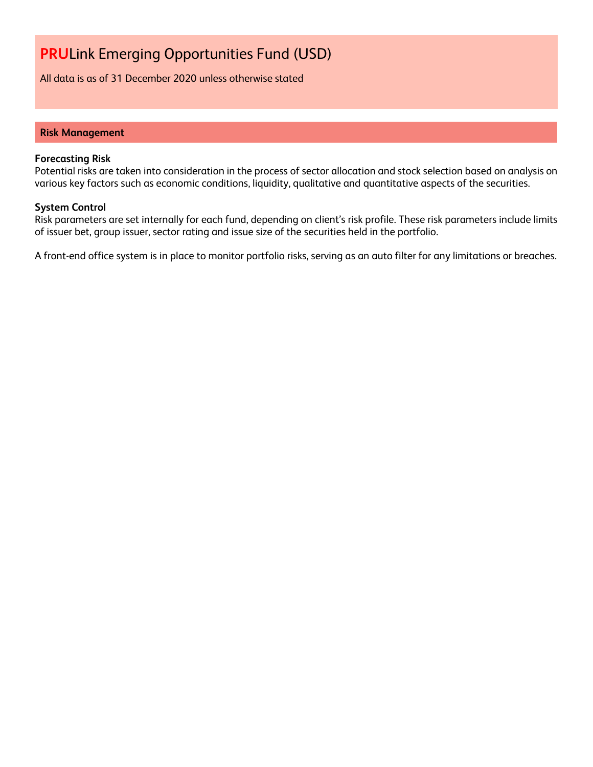All data is as of 31 December 2020 unless otherwise stated

#### **Risk Management**

#### **Forecasting Risk**

Potential risks are taken into consideration in the process of sector allocation and stock selection based on analysis on various key factors such as economic conditions, liquidity, qualitative and quantitative aspects of the securities.

#### **System Control**

Risk parameters are set internally for each fund, depending on client's risk profile. These risk parameters include limits of issuer bet, group issuer, sector rating and issue size of the securities held in the portfolio.

A front-end office system is in place to monitor portfolio risks, serving as an auto filter for any limitations or breaches.